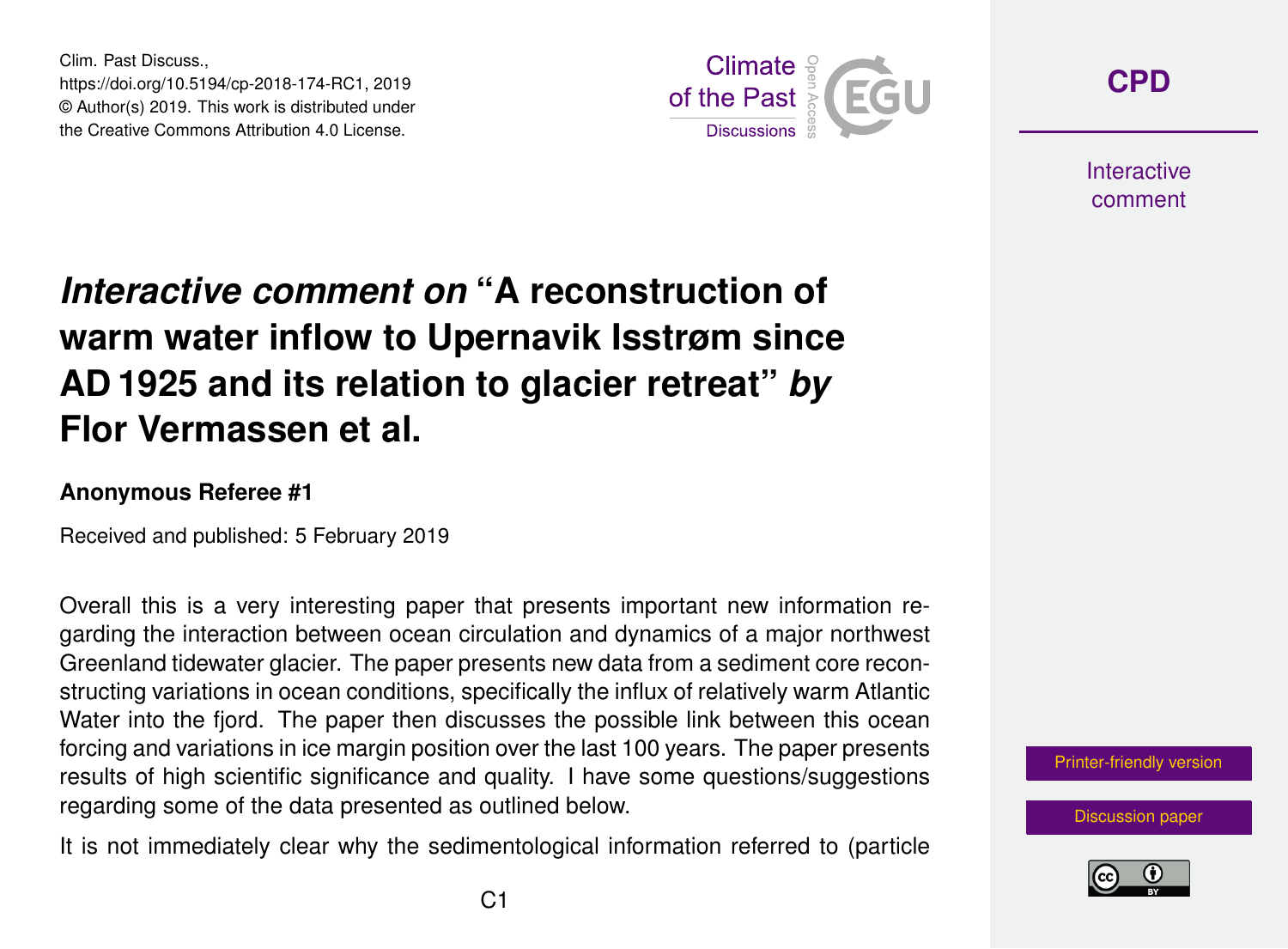Clim. Past Discuss., https://doi.org/10.5194/cp-2018-174-RC1, 2019 © Author(s) 2019. This work is distributed under the Creative Commons Attribution 4.0 License.



**[CPD](https://www.clim-past-discuss.net/)**

**Interactive** comment

## *Interactive comment on* **"A reconstruction of warm water inflow to Upernavik Isstrøm since AD 1925 and its relation to glacier retreat"** *by* **Flor Vermassen et al.**

## **Anonymous Referee #1**

Received and published: 5 February 2019

Overall this is a very interesting paper that presents important new information regarding the interaction between ocean circulation and dynamics of a major northwest Greenland tidewater glacier. The paper presents new data from a sediment core reconstructing variations in ocean conditions, specifically the influx of relatively warm Atlantic Water into the fjord. The paper then discusses the possible link between this ocean forcing and variations in ice margin position over the last 100 years. The paper presents results of high scientific significance and quality. I have some questions/suggestions regarding some of the data presented as outlined below.

It is not immediately clear why the sedimentological information referred to (particle



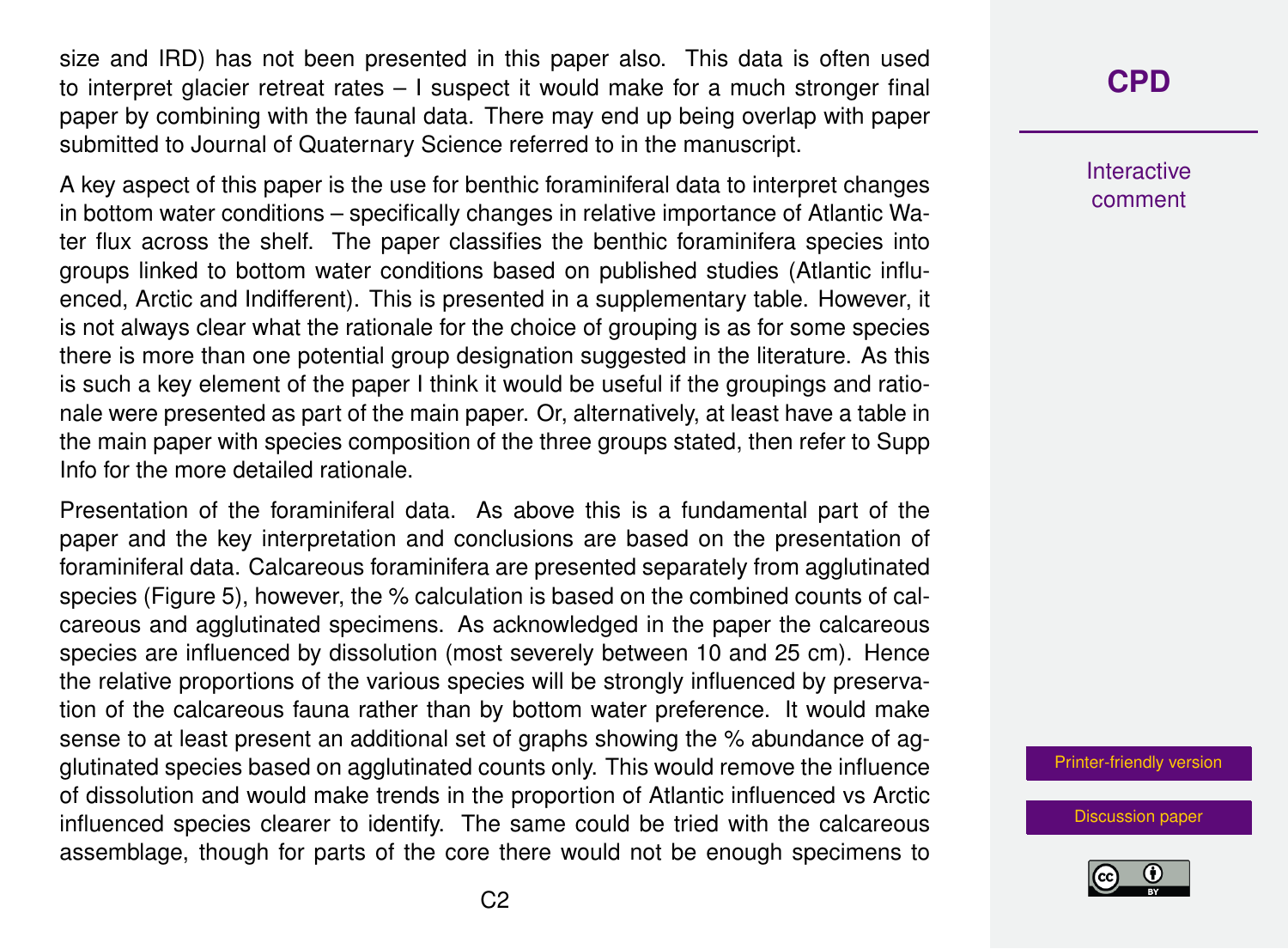size and IRD) has not been presented in this paper also. This data is often used to interpret glacier retreat rates – I suspect it would make for a much stronger final paper by combining with the faunal data. There may end up being overlap with paper submitted to Journal of Quaternary Science referred to in the manuscript.

A key aspect of this paper is the use for benthic foraminiferal data to interpret changes in bottom water conditions – specifically changes in relative importance of Atlantic Water flux across the shelf. The paper classifies the benthic foraminifera species into groups linked to bottom water conditions based on published studies (Atlantic influenced, Arctic and Indifferent). This is presented in a supplementary table. However, it is not always clear what the rationale for the choice of grouping is as for some species there is more than one potential group designation suggested in the literature. As this is such a key element of the paper I think it would be useful if the groupings and rationale were presented as part of the main paper. Or, alternatively, at least have a table in the main paper with species composition of the three groups stated, then refer to Supp Info for the more detailed rationale.

Presentation of the foraminiferal data. As above this is a fundamental part of the paper and the key interpretation and conclusions are based on the presentation of foraminiferal data. Calcareous foraminifera are presented separately from agglutinated species (Figure 5), however, the % calculation is based on the combined counts of calcareous and agglutinated specimens. As acknowledged in the paper the calcareous species are influenced by dissolution (most severely between 10 and 25 cm). Hence the relative proportions of the various species will be strongly influenced by preservation of the calcareous fauna rather than by bottom water preference. It would make sense to at least present an additional set of graphs showing the % abundance of agglutinated species based on agglutinated counts only. This would remove the influence of dissolution and would make trends in the proportion of Atlantic influenced vs Arctic influenced species clearer to identify. The same could be tried with the calcareous assemblage, though for parts of the core there would not be enough specimens to

## **[CPD](https://www.clim-past-discuss.net/)**

Interactive comment

[Printer-friendly version](https://www.clim-past-discuss.net/cp-2018-174/cp-2018-174-RC1-print.pdf)

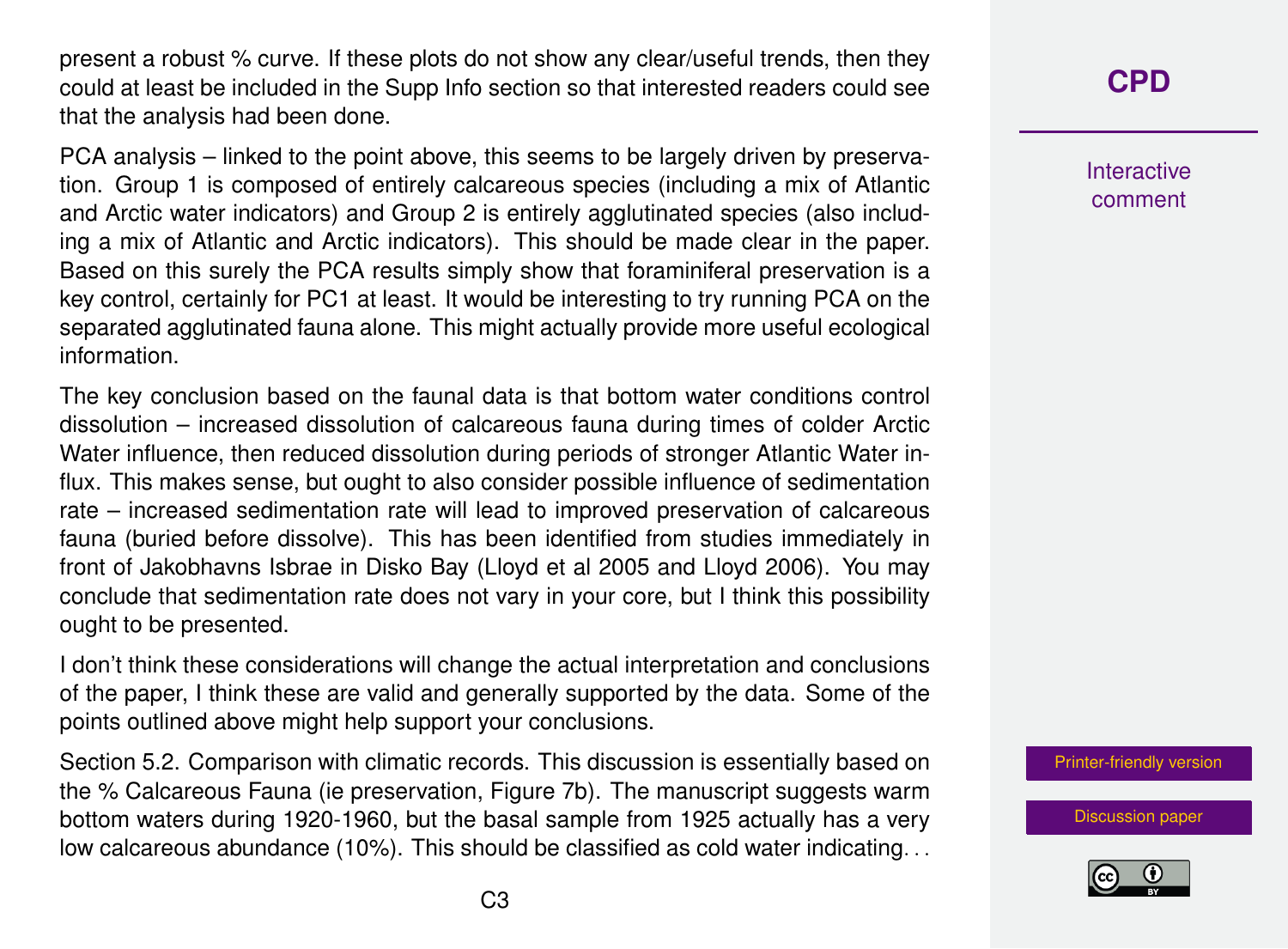present a robust % curve. If these plots do not show any clear/useful trends, then they could at least be included in the Supp Info section so that interested readers could see that the analysis had been done.

PCA analysis – linked to the point above, this seems to be largely driven by preservation. Group 1 is composed of entirely calcareous species (including a mix of Atlantic and Arctic water indicators) and Group 2 is entirely agglutinated species (also including a mix of Atlantic and Arctic indicators). This should be made clear in the paper. Based on this surely the PCA results simply show that foraminiferal preservation is a key control, certainly for PC1 at least. It would be interesting to try running PCA on the separated agglutinated fauna alone. This might actually provide more useful ecological information.

The key conclusion based on the faunal data is that bottom water conditions control dissolution – increased dissolution of calcareous fauna during times of colder Arctic Water influence, then reduced dissolution during periods of stronger Atlantic Water influx. This makes sense, but ought to also consider possible influence of sedimentation rate – increased sedimentation rate will lead to improved preservation of calcareous fauna (buried before dissolve). This has been identified from studies immediately in front of Jakobhavns Isbrae in Disko Bay (Lloyd et al 2005 and Lloyd 2006). You may conclude that sedimentation rate does not vary in your core, but I think this possibility ought to be presented.

I don't think these considerations will change the actual interpretation and conclusions of the paper, I think these are valid and generally supported by the data. Some of the points outlined above might help support your conclusions.

Section 5.2. Comparison with climatic records. This discussion is essentially based on the % Calcareous Fauna (ie preservation, Figure 7b). The manuscript suggests warm bottom waters during 1920-1960, but the basal sample from 1925 actually has a very low calcareous abundance (10%). This should be classified as cold water indicating. . .

Interactive comment

[Printer-friendly version](https://www.clim-past-discuss.net/cp-2018-174/cp-2018-174-RC1-print.pdf)